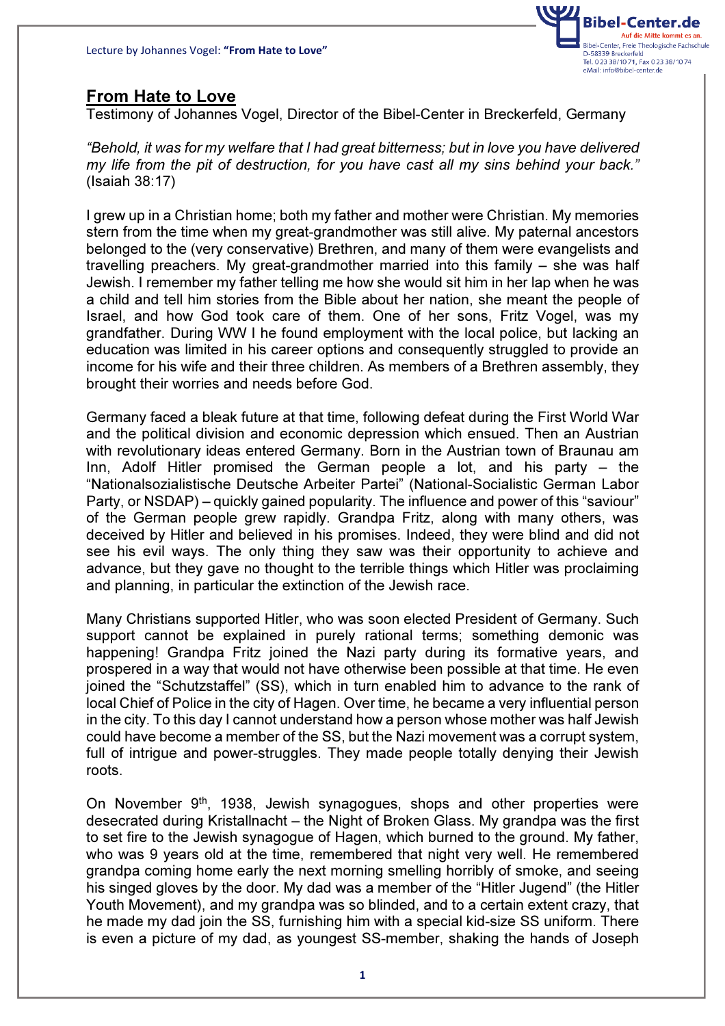

## From Hate to Love

Testimony of Johannes Vogel, Director of the Bibel-Center in Breckerfeld, Germany

"Behold, it was for my welfare that I had great bitterness; but in love you have delivered my life from the pit of destruction, for you have cast all my sins behind your back." (Isaiah 38:17)

I grew up in a Christian home; both my father and mother were Christian. My memories stern from the time when my great-grandmother was still alive. My paternal ancestors belonged to the (very conservative) Brethren, and many of them were evangelists and travelling preachers. My great-grandmother married into this family – she was half Jewish. I remember my father telling me how she would sit him in her lap when he was a child and tell him stories from the Bible about her nation, she meant the people of Israel, and how God took care of them. One of her sons, Fritz Vogel, was my grandfather. During WW I he found employment with the local police, but lacking an education was limited in his career options and consequently struggled to provide an income for his wife and their three children. As members of a Brethren assembly, they brought their worries and needs before God.

Germany faced a bleak future at that time, following defeat during the First World War and the political division and economic depression which ensued. Then an Austrian with revolutionary ideas entered Germany. Born in the Austrian town of Braunau am Inn, Adolf Hitler promised the German people a lot, and his party – the "Nationalsozialistische Deutsche Arbeiter Partei" (National-Socialistic German Labor Party, or NSDAP) – quickly gained popularity. The influence and power of this "saviour" of the German people grew rapidly. Grandpa Fritz, along with many others, was deceived by Hitler and believed in his promises. Indeed, they were blind and did not see his evil ways. The only thing they saw was their opportunity to achieve and advance, but they gave no thought to the terrible things which Hitler was proclaiming and planning, in particular the extinction of the Jewish race.

Many Christians supported Hitler, who was soon elected President of Germany. Such support cannot be explained in purely rational terms; something demonic was happening! Grandpa Fritz joined the Nazi party during its formative years, and prospered in a way that would not have otherwise been possible at that time. He even joined the "Schutzstaffel" (SS), which in turn enabled him to advance to the rank of local Chief of Police in the city of Hagen. Over time, he became a very influential person in the city. To this day I cannot understand how a person whose mother was half Jewish could have become a member of the SS, but the Nazi movement was a corrupt system, full of intrigue and power-struggles. They made people totally denying their Jewish roots.

On November 9th, 1938, Jewish synagogues, shops and other properties were desecrated during Kristallnacht – the Night of Broken Glass. My grandpa was the first to set fire to the Jewish synagogue of Hagen, which burned to the ground. My father, who was 9 years old at the time, remembered that night very well. He remembered grandpa coming home early the next morning smelling horribly of smoke, and seeing his singed gloves by the door. My dad was a member of the "Hitler Jugend" (the Hitler Youth Movement), and my grandpa was so blinded, and to a certain extent crazy, that he made my dad join the SS, furnishing him with a special kid-size SS uniform. There is even a picture of my dad, as youngest SS-member, shaking the hands of Joseph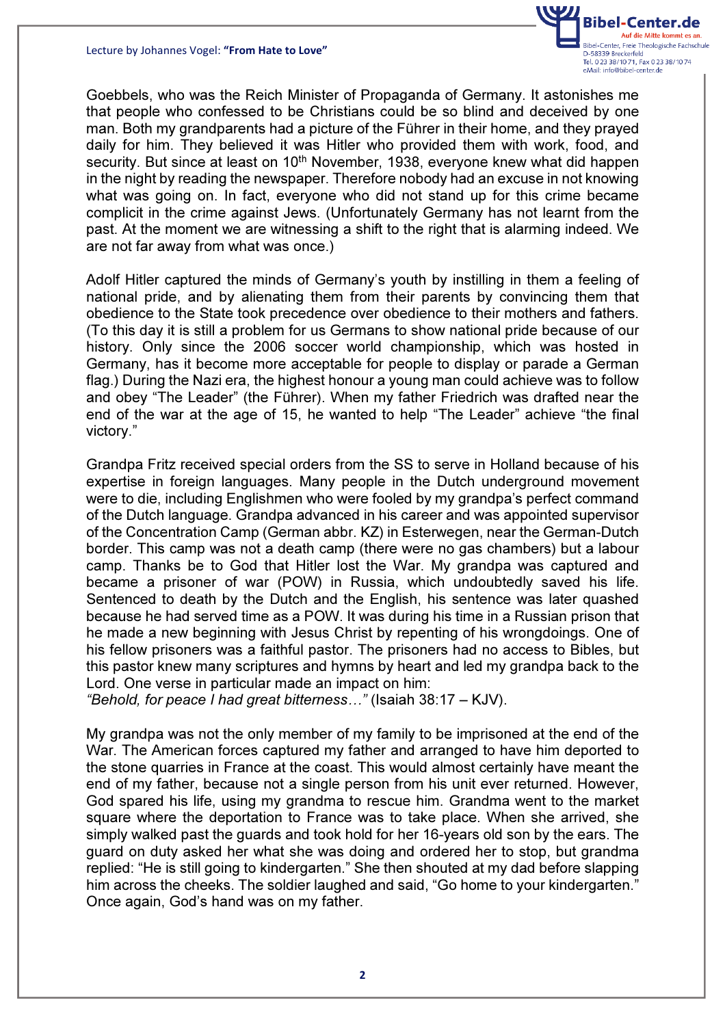Lecture by Johannes Vogel: "From Hate to Love"



Goebbels, who was the Reich Minister of Propaganda of Germany. It astonishes me that people who confessed to be Christians could be so blind and deceived by one man. Both my grandparents had a picture of the Führer in their home, and they prayed daily for him. They believed it was Hitler who provided them with work, food, and security. But since at least on 10<sup>th</sup> November, 1938, everyone knew what did happen in the night by reading the newspaper. Therefore nobody had an excuse in not knowing what was going on. In fact, everyone who did not stand up for this crime became complicit in the crime against Jews. (Unfortunately Germany has not learnt from the past. At the moment we are witnessing a shift to the right that is alarming indeed. We are not far away from what was once.)

Adolf Hitler captured the minds of Germany's youth by instilling in them a feeling of national pride, and by alienating them from their parents by convincing them that obedience to the State took precedence over obedience to their mothers and fathers. (To this day it is still a problem for us Germans to show national pride because of our history. Only since the 2006 soccer world championship, which was hosted in Germany, has it become more acceptable for people to display or parade a German flag.) During the Nazi era, the highest honour a young man could achieve was to follow and obey "The Leader" (the Führer). When my father Friedrich was drafted near the end of the war at the age of 15, he wanted to help "The Leader" achieve "the final victory."

Grandpa Fritz received special orders from the SS to serve in Holland because of his expertise in foreign languages. Many people in the Dutch underground movement were to die, including Englishmen who were fooled by my grandpa's perfect command of the Dutch language. Grandpa advanced in his career and was appointed supervisor of the Concentration Camp (German abbr. KZ) in Esterwegen, near the German-Dutch border. This camp was not a death camp (there were no gas chambers) but a labour camp. Thanks be to God that Hitler lost the War. My grandpa was captured and became a prisoner of war (POW) in Russia, which undoubtedly saved his life. Sentenced to death by the Dutch and the English, his sentence was later quashed because he had served time as a POW. It was during his time in a Russian prison that he made a new beginning with Jesus Christ by repenting of his wrongdoings. One of his fellow prisoners was a faithful pastor. The prisoners had no access to Bibles, but this pastor knew many scriptures and hymns by heart and led my grandpa back to the Lord. One verse in particular made an impact on him:

"Behold, for peace I had great bitterness..." (Isaiah 38:17 – KJV).

My grandpa was not the only member of my family to be imprisoned at the end of the War. The American forces captured my father and arranged to have him deported to the stone quarries in France at the coast. This would almost certainly have meant the end of my father, because not a single person from his unit ever returned. However, God spared his life, using my grandma to rescue him. Grandma went to the market square where the deportation to France was to take place. When she arrived, she simply walked past the guards and took hold for her 16-years old son by the ears. The guard on duty asked her what she was doing and ordered her to stop, but grandma replied: "He is still going to kindergarten." She then shouted at my dad before slapping him across the cheeks. The soldier laughed and said, "Go home to your kindergarten." Once again, God's hand was on my father.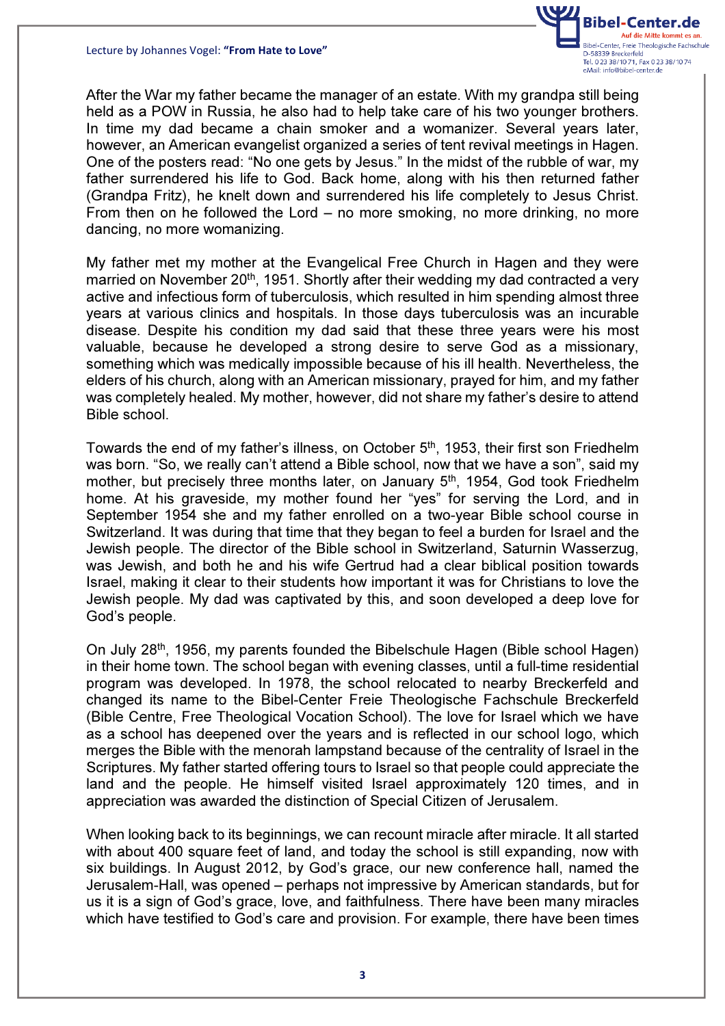

After the War my father became the manager of an estate. With my grandpa still being held as a POW in Russia, he also had to help take care of his two younger brothers. In time my dad became a chain smoker and a womanizer. Several years later, however, an American evangelist organized a series of tent revival meetings in Hagen. One of the posters read: "No one gets by Jesus." In the midst of the rubble of war, my father surrendered his life to God. Back home, along with his then returned father (Grandpa Fritz), he knelt down and surrendered his life completely to Jesus Christ. From then on he followed the Lord – no more smoking, no more drinking, no more dancing, no more womanizing.

My father met my mother at the Evangelical Free Church in Hagen and they were married on November 20<sup>th</sup>, 1951. Shortly after their wedding my dad contracted a very active and infectious form of tuberculosis, which resulted in him spending almost three years at various clinics and hospitals. In those days tuberculosis was an incurable disease. Despite his condition my dad said that these three years were his most valuable, because he developed a strong desire to serve God as a missionary, something which was medically impossible because of his ill health. Nevertheless, the elders of his church, along with an American missionary, prayed for him, and my father was completely healed. My mother, however, did not share my father's desire to attend Bible school.

Towards the end of my father's illness, on October 5<sup>th</sup>, 1953, their first son Friedhelm was born. "So, we really can't attend a Bible school, now that we have a son", said my mother, but precisely three months later, on January 5<sup>th</sup>, 1954, God took Friedhelm home. At his graveside, my mother found her "yes" for serving the Lord, and in September 1954 she and my father enrolled on a two-year Bible school course in Switzerland. It was during that time that they began to feel a burden for Israel and the Jewish people. The director of the Bible school in Switzerland, Saturnin Wasserzug, was Jewish, and both he and his wife Gertrud had a clear biblical position towards Israel, making it clear to their students how important it was for Christians to love the Jewish people. My dad was captivated by this, and soon developed a deep love for God's people.

On July 28th, 1956, my parents founded the Bibelschule Hagen (Bible school Hagen) in their home town. The school began with evening classes, until a full-time residential program was developed. In 1978, the school relocated to nearby Breckerfeld and changed its name to the Bibel-Center Freie Theologische Fachschule Breckerfeld (Bible Centre, Free Theological Vocation School). The love for Israel which we have as a school has deepened over the years and is reflected in our school logo, which merges the Bible with the menorah lampstand because of the centrality of Israel in the Scriptures. My father started offering tours to Israel so that people could appreciate the land and the people. He himself visited Israel approximately 120 times, and in appreciation was awarded the distinction of Special Citizen of Jerusalem.

When looking back to its beginnings, we can recount miracle after miracle. It all started with about 400 square feet of land, and today the school is still expanding, now with six buildings. In August 2012, by God's grace, our new conference hall, named the Jerusalem-Hall, was opened – perhaps not impressive by American standards, but for us it is a sign of God's grace, love, and faithfulness. There have been many miracles which have testified to God's care and provision. For example, there have been times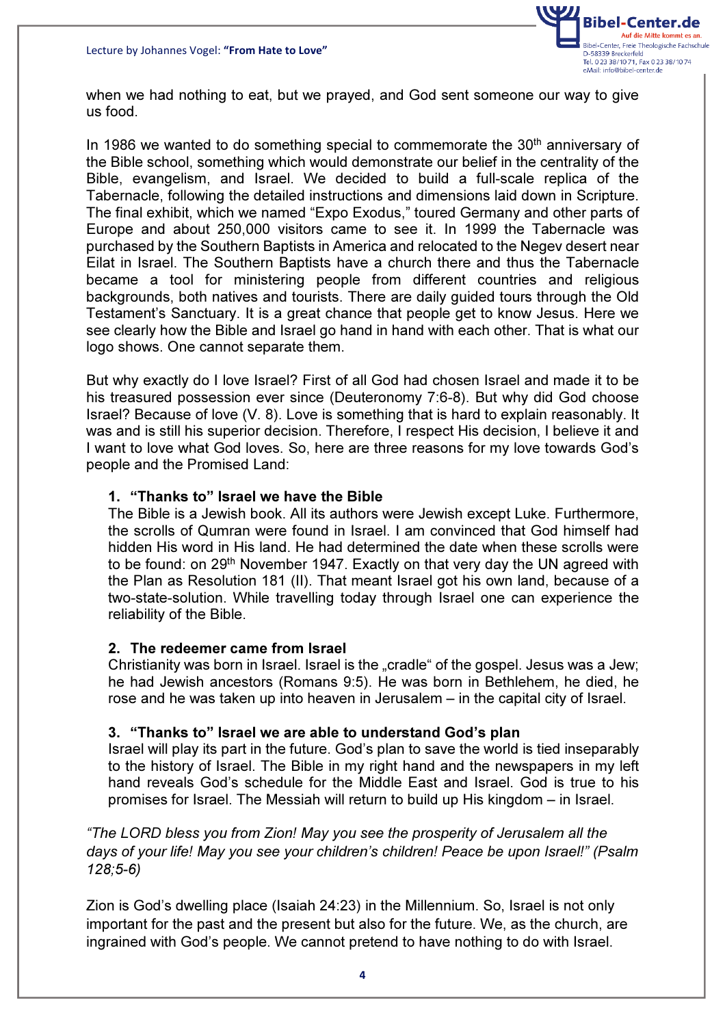

when we had nothing to eat, but we prayed, and God sent someone our way to give us food.

In 1986 we wanted to do something special to commemorate the 30<sup>th</sup> anniversary of the Bible school, something which would demonstrate our belief in the centrality of the Bible, evangelism, and Israel. We decided to build a full-scale replica of the Tabernacle, following the detailed instructions and dimensions laid down in Scripture. The final exhibit, which we named "Expo Exodus," toured Germany and other parts of Europe and about 250,000 visitors came to see it. In 1999 the Tabernacle was purchased by the Southern Baptists in America and relocated to the Negev desert near Eilat in Israel. The Southern Baptists have a church there and thus the Tabernacle became a tool for ministering people from different countries and religious backgrounds, both natives and tourists. There are daily guided tours through the Old Testament's Sanctuary. It is a great chance that people get to know Jesus. Here we see clearly how the Bible and Israel go hand in hand with each other. That is what our logo shows. One cannot separate them.

But why exactly do I love Israel? First of all God had chosen Israel and made it to be his treasured possession ever since (Deuteronomy 7:6-8). But why did God choose Israel? Because of love (V. 8). Love is something that is hard to explain reasonably. It was and is still his superior decision. Therefore, I respect His decision, I believe it and I want to love what God loves. So, here are three reasons for my love towards God's people and the Promised Land:

## 1. "Thanks to" Israel we have the Bible

The Bible is a Jewish book. All its authors were Jewish except Luke. Furthermore, the scrolls of Qumran were found in Israel. I am convinced that God himself had hidden His word in His land. He had determined the date when these scrolls were to be found: on 29th November 1947. Exactly on that very day the UN agreed with the Plan as Resolution 181 (II). That meant Israel got his own land, because of a two-state-solution. While travelling today through Israel one can experience the reliability of the Bible.

## 2. The redeemer came from Israel

Christianity was born in Israel. Israel is the "cradle" of the gospel. Jesus was a Jew; he had Jewish ancestors (Romans 9:5). He was born in Bethlehem, he died, he rose and he was taken up into heaven in Jerusalem – in the capital city of Israel.

## 3. "Thanks to" Israel we are able to understand God's plan

Israel will play its part in the future. God's plan to save the world is tied inseparably to the history of Israel. The Bible in my right hand and the newspapers in my left hand reveals God's schedule for the Middle East and Israel. God is true to his promises for Israel. The Messiah will return to build up His kingdom – in Israel.

"The LORD bless you from Zion! May you see the prosperity of Jerusalem all the days of your life! May you see your children's children! Peace be upon Israel!" (Psalm 128;5-6)

Zion is God's dwelling place (Isaiah 24:23) in the Millennium. So, Israel is not only important for the past and the present but also for the future. We, as the church, are ingrained with God's people. We cannot pretend to have nothing to do with Israel.